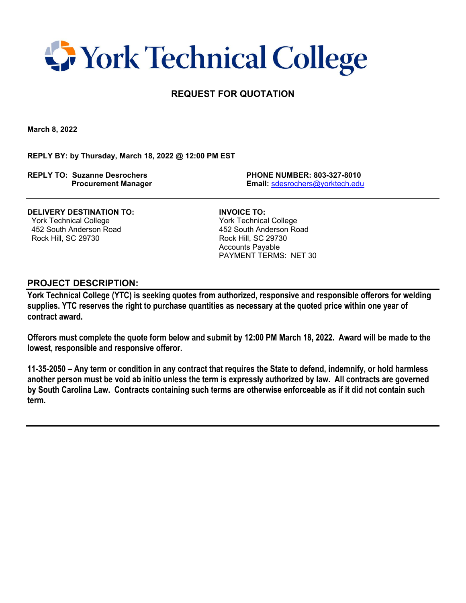## **T** York Technical College

### **REQUEST FOR QUOTATION**

**March 8, 2022**

**REPLY BY: by Thursday, March 18, 2022 @ 12:00 PM EST**

**REPLY TO: Suzanne Desrochers PHONE NUMBER: 803-327-8010**

 **Procurement Manager Email:** [sdesrochers@yorktech.edu](mailto:sdesrochers@yorktech.edu)

**DELIVERY DESTINATION TO: INVOICE TO:** York Technical College York Technical College 452 South Anderson Road 452 South Anderson Road Rock Hill, SC 29730 Rock Hill, SC 29730

 Accounts Payable PAYMENT TERMS: NET 30

#### **PROJECT DESCRIPTION:**

**York Technical College (YTC) is seeking quotes from authorized, responsive and responsible offerors for welding supplies. YTC reserves the right to purchase quantities as necessary at the quoted price within one year of contract award.** 

**Offerors must complete the quote form below and submit by 12:00 PM March 18, 2022. Award will be made to the lowest, responsible and responsive offeror.** 

**11-35-2050 – Any term or condition in any contract that requires the State to defend, indemnify, or hold harmless another person must be void ab initio unless the term is expressly authorized by law. All contracts are governed by South Carolina Law. Contracts containing such terms are otherwise enforceable as if it did not contain such term.**